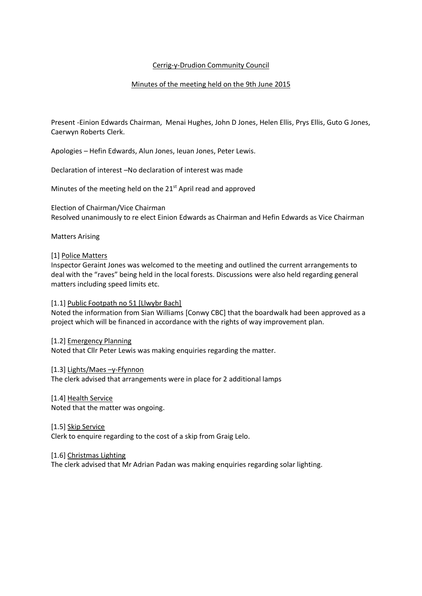# Cerrig-y-Drudion Community Council

# Minutes of the meeting held on the 9th June 2015

Present -Einion Edwards Chairman, Menai Hughes, John D Jones, Helen Ellis, Prys Ellis, Guto G Jones, Caerwyn Roberts Clerk.

Apologies – Hefin Edwards, Alun Jones, Ieuan Jones, Peter Lewis.

Declaration of interest –No declaration of interest was made

Minutes of the meeting held on the 21<sup>st</sup> April read and approved

Election of Chairman/Vice Chairman Resolved unanimously to re elect Einion Edwards as Chairman and Hefin Edwards as Vice Chairman

Matters Arising

### [1] Police Matters

Inspector Geraint Jones was welcomed to the meeting and outlined the current arrangements to deal with the "raves" being held in the local forests. Discussions were also held regarding general matters including speed limits etc.

### [1.1] Public Footpath no 51 [Llwybr Bach]

Noted the information from Sian Williams [Conwy CBC] that the boardwalk had been approved as a project which will be financed in accordance with the rights of way improvement plan.

[1.2] Emergency Planning Noted that Cllr Peter Lewis was making enquiries regarding the matter.

[1.3] Lights/Maes –y-Ffynnon The clerk advised that arrangements were in place for 2 additional lamps

[1.4] Health Service Noted that the matter was ongoing.

[1.5] Skip Service Clerk to enquire regarding to the cost of a skip from Graig Lelo.

[1.6] Christmas Lighting The clerk advised that Mr Adrian Padan was making enquiries regarding solar lighting.